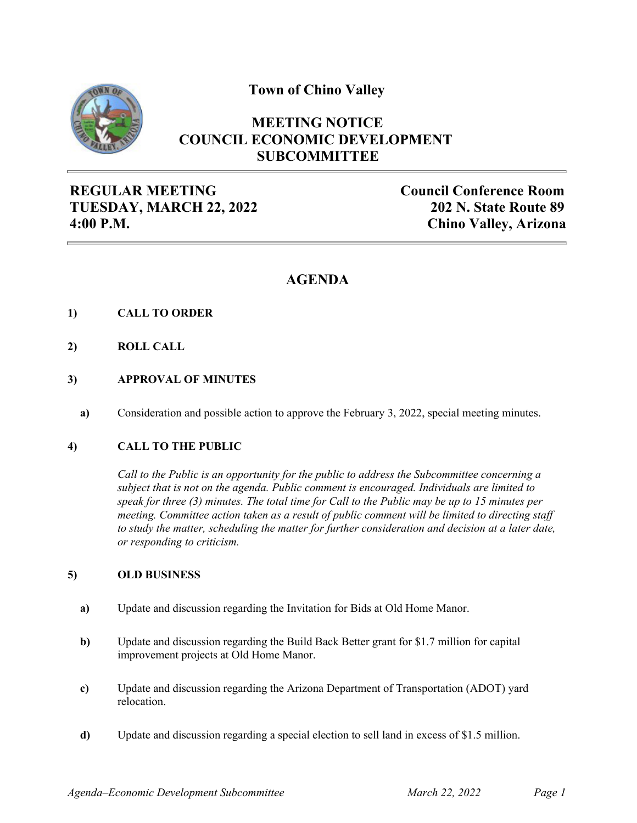**Town of Chino Valley**



# **MEETING NOTICE COUNCIL ECONOMIC DEVELOPMENT SUBCOMMITTEE**

**REGULAR MEETING TUESDAY, MARCH 22, 2022 4:00 P.M.**

**Council Conference Room 202 N. State Route 89 Chino Valley, Arizona**

# **AGENDA**

- **1) CALL TO ORDER**
- **2) ROLL CALL**
- **3) APPROVAL OF MINUTES**
	- **a)** Consideration and possible action to approve the February 3, 2022, special meeting minutes.

### **4) CALL TO THE PUBLIC**

*Call to the Public is an opportunity for the public to address the Subcommittee concerning a subject that is not on the agenda. Public comment is encouraged. Individuals are limited to speak for three (3) minutes. The total time for Call to the Public may be up to 15 minutes per meeting. Committee action taken as a result of public comment will be limited to directing staff to study the matter, scheduling the matter for further consideration and decision at a later date, or responding to criticism.*

### **5) OLD BUSINESS**

- **a)** Update and discussion regarding the Invitation for Bids at Old Home Manor.
- **b)** Update and discussion regarding the Build Back Better grant for \$1.7 million for capital improvement projects at Old Home Manor.
- **c)** Update and discussion regarding the Arizona Department of Transportation (ADOT) yard relocation.
- **d)** Update and discussion regarding a special election to sell land in excess of \$1.5 million.